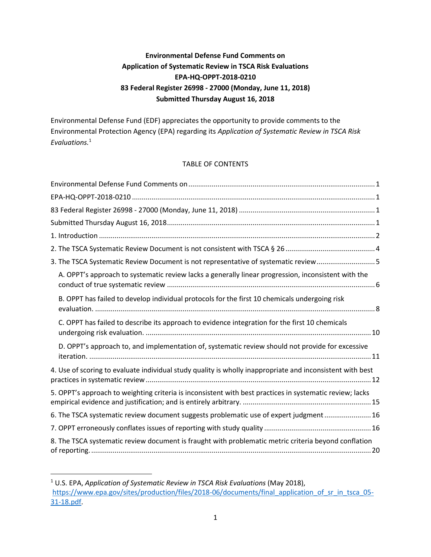# **Environmental Defense Fund Comments on Application of Systematic Review in TSCA Risk Evaluations EPA-HQ-OPPT-2018-0210 83 Federal Register 26998 - 27000 (Monday, June 11, 2018) Submitted Thursday August 16, 2018**

<span id="page-0-3"></span><span id="page-0-2"></span><span id="page-0-1"></span><span id="page-0-0"></span>Environmental Defense Fund (EDF) appreciates the opportunity to provide comments to the Environmental Protection Agency (EPA) regarding its *Application of Systematic Review in TSCA Risk Evaluations.* 1

### TABLE OF CONTENTS

| 3. The TSCA Systematic Review Document is not representative of systematic review5                        |
|-----------------------------------------------------------------------------------------------------------|
| A. OPPT's approach to systematic review lacks a generally linear progression, inconsistent with the       |
| B. OPPT has failed to develop individual protocols for the first 10 chemicals undergoing risk             |
| C. OPPT has failed to describe its approach to evidence integration for the first 10 chemicals            |
| D. OPPT's approach to, and implementation of, systematic review should not provide for excessive          |
| 4. Use of scoring to evaluate individual study quality is wholly inappropriate and inconsistent with best |
| 5. OPPT's approach to weighting criteria is inconsistent with best practices in systematic review; lacks  |
| 6. The TSCA systematic review document suggests problematic use of expert judgment 16                     |
|                                                                                                           |
| 8. The TSCA systematic review document is fraught with problematic metric criteria beyond conflation      |

<sup>1</sup> U.S. EPA, *Application of Systematic Review in TSCA Risk Evaluations* (May 2018), [https://www.epa.gov/sites/production/files/2018-06/documents/final\\_application\\_of\\_sr\\_in\\_tsca\\_05-](https://www.epa.gov/sites/production/files/2018-06/documents/final_application_of_sr_in_tsca_05-31-18.pdf) [31-18.pdf.](https://www.epa.gov/sites/production/files/2018-06/documents/final_application_of_sr_in_tsca_05-31-18.pdf)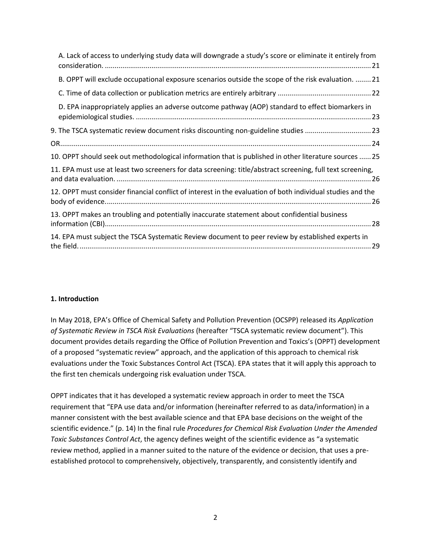| A. Lack of access to underlying study data will downgrade a study's score or eliminate it entirely from    |
|------------------------------------------------------------------------------------------------------------|
| B. OPPT will exclude occupational exposure scenarios outside the scope of the risk evaluation.  21         |
|                                                                                                            |
| D. EPA inappropriately applies an adverse outcome pathway (AOP) standard to effect biomarkers in           |
| 9. The TSCA systematic review document risks discounting non-guideline studies 23                          |
|                                                                                                            |
| 10. OPPT should seek out methodological information that is published in other literature sources  25      |
| 11. EPA must use at least two screeners for data screening: title/abstract screening, full text screening, |
| 12. OPPT must consider financial conflict of interest in the evaluation of both individual studies and the |
| 13. OPPT makes an troubling and potentially inaccurate statement about confidential business               |
| 14. EPA must subject the TSCA Systematic Review document to peer review by established experts in          |

#### <span id="page-1-0"></span>**1. Introduction**

In May 2018, EPA's Office of Chemical Safety and Pollution Prevention (OCSPP) released its *Application of Systematic Review in TSCA Risk Evaluations* (hereafter "TSCA systematic review document"). This document provides details regarding the Office of Pollution Prevention and Toxics's (OPPT) development of a proposed "systematic review" approach, and the application of this approach to chemical risk evaluations under the Toxic Substances Control Act (TSCA). EPA states that it will apply this approach to the first ten chemicals undergoing risk evaluation under TSCA.

OPPT indicates that it has developed a systematic review approach in order to meet the TSCA requirement that "EPA use data and/or information (hereinafter referred to as data/information) in a manner consistent with the best available science and that EPA base decisions on the weight of the scientific evidence." (p. 14) In the final rule *Procedures for Chemical Risk Evaluation Under the Amended Toxic Substances Control Act*, the agency defines weight of the scientific evidence as "a systematic review method, applied in a manner suited to the nature of the evidence or decision, that uses a preestablished protocol to comprehensively, objectively, transparently, and consistently identify and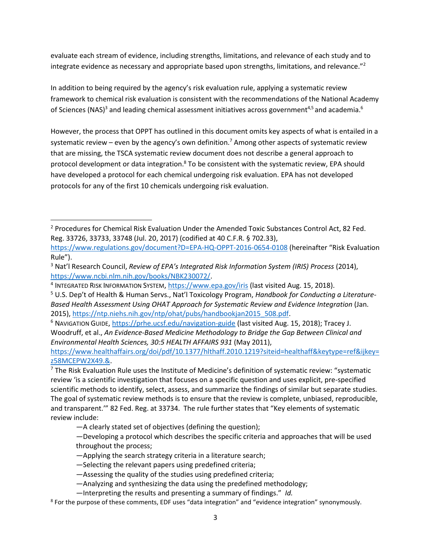evaluate each stream of evidence, including strengths, limitations, and relevance of each study and to integrate evidence as necessary and appropriate based upon strengths, limitations, and relevance."<sup>2</sup>

In addition to being required by the agency's risk evaluation rule, applying a systematic review framework to chemical risk evaluation is consistent with the recommendations of the National Academy of Sciences (NAS)<sup>3</sup> and leading chemical assessment initiatives across government<sup>4,5</sup> and academia.<sup>6</sup>

However, the process that OPPT has outlined in this document omits key aspects of what is entailed in a systematic review – even by the agency's own definition.<sup>7</sup> Among other aspects of systematic review that are missing, the TSCA systematic review document does not describe a general approach to protocol development or data integration.<sup>8</sup> To be consistent with the systematic review, EPA should have developed a protocol for each chemical undergoing risk evaluation. EPA has not developed protocols for any of the first 10 chemicals undergoing risk evaluation.

[https://www.healthaffairs.org/doi/pdf/10.1377/hlthaff.2010.1219?siteid=healthaff&keytype=ref&ijkey=](https://www.healthaffairs.org/doi/pdf/10.1377/hlthaff.2010.1219?siteid=healthaff&keytype=ref&ijkey=z58MCEPW2X49.&) [z58MCEPW2X49.&.](https://www.healthaffairs.org/doi/pdf/10.1377/hlthaff.2010.1219?siteid=healthaff&keytype=ref&ijkey=z58MCEPW2X49.&)

 $\overline{a}$ <sup>2</sup> Procedures for Chemical Risk Evaluation Under the Amended Toxic Substances Control Act, 82 Fed. Reg. 33726, 33733, 33748 (Jul. 20, 2017) (codified at 40 C.F.R. § 702.33),

<https://www.regulations.gov/document?D=EPA-HQ-OPPT-2016-0654-0108> (hereinafter "Risk Evaluation Rule").

<sup>3</sup> Nat'l Research Council, *Review of EPA's Integrated Risk Information System (IRIS) Process* (2014), [https://www.ncbi.nlm.nih.gov/books/NBK230072/.](https://www.ncbi.nlm.nih.gov/books/NBK230072/)

<sup>&</sup>lt;sup>4</sup> INTEGRATED RISK INFORMATION SYSTEM, <u>https://www.epa.gov/iris</u> (last visited Aug. 15, 2018).

<sup>5</sup> U.S. Dep't of Health & Human Servs., Nat'l Toxicology Program, *Handbook for Conducting a Literature-Based Health Assessment Using OHAT Approach for Systematic Review and Evidence Integration* (Jan. 2015), [https://ntp.niehs.nih.gov/ntp/ohat/pubs/handbookjan2015\\_508.pdf.](https://ntp.niehs.nih.gov/ntp/ohat/pubs/handbookjan2015_508.pdf)

<sup>6</sup> NAVIGATION GUIDE,<https://prhe.ucsf.edu/navigation-guide> (last visited Aug. 15, 2018); Tracey J. Woodruff, et al., *An Evidence-Based Medicine Methodology to Bridge the Gap Between Clinical and Environmental Health Sciences, 30:5 HEALTH AFFAIRS 931* (May 2011),

 $<sup>7</sup>$  The Risk Evaluation Rule uses the Institute of Medicine's definition of systematic review: "systematic</sup> review 'is a scientific investigation that focuses on a specific question and uses explicit, pre-specified scientific methods to identify, select, assess, and summarize the findings of similar but separate studies. The goal of systematic review methods is to ensure that the review is complete, unbiased, reproducible, and transparent.'" 82 Fed. Reg. at 33734. The rule further states that "Key elements of systematic review include:

<sup>—</sup>A clearly stated set of objectives (defining the question);

<sup>—</sup>Developing a protocol which describes the specific criteria and approaches that will be used throughout the process;

<sup>—</sup>Applying the search strategy criteria in a literature search;

<sup>—</sup>Selecting the relevant papers using predefined criteria;

<sup>—</sup>Assessing the quality of the studies using predefined criteria;

<sup>—</sup>Analyzing and synthesizing the data using the predefined methodology;

<sup>—</sup>Interpreting the results and presenting a summary of findings." *Id.*

<sup>&</sup>lt;sup>8</sup> For the purpose of these comments, EDF uses "data integration" and "evidence integration" synonymously.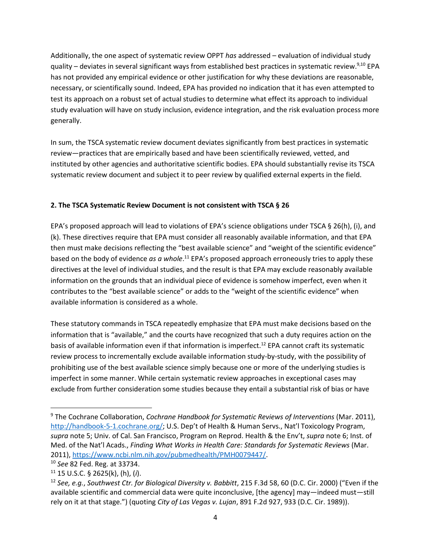Additionally, the one aspect of systematic review OPPT *has* addressed – evaluation of individual study quality – deviates in several significant ways from established best practices in systematic review.<sup>9,10</sup> EPA has not provided any empirical evidence or other justification for why these deviations are reasonable, necessary, or scientifically sound. Indeed, EPA has provided no indication that it has even attempted to test its approach on a robust set of actual studies to determine what effect its approach to individual study evaluation will have on study inclusion, evidence integration, and the risk evaluation process more generally.

In sum, the TSCA systematic review document deviates significantly from best practices in systematic review—practices that are empirically based and have been scientifically reviewed, vetted, and instituted by other agencies and authoritative scientific bodies. EPA should substantially revise its TSCA systematic review document and subject it to peer review by qualified external experts in the field.

# <span id="page-3-0"></span>**2. The TSCA Systematic Review Document is not consistent with TSCA § 26**

EPA's proposed approach will lead to violations of EPA's science obligations under TSCA § 26(h), (i), and (k). These directives require that EPA must consider all reasonably available information, and that EPA then must make decisions reflecting the "best available science" and "weight of the scientific evidence" based on the body of evidence *as a whole*. <sup>11</sup> EPA's proposed approach erroneously tries to apply these directives at the level of individual studies, and the result is that EPA may exclude reasonably available information on the grounds that an individual piece of evidence is somehow imperfect, even when it contributes to the "best available science" or adds to the "weight of the scientific evidence" when available information is considered as a whole.

These statutory commands in TSCA repeatedly emphasize that EPA must make decisions based on the information that is "available," and the courts have recognized that such a duty requires action on the basis of available information even if that information is imperfect.<sup>12</sup> EPA cannot craft its systematic review process to incrementally exclude available information study-by-study, with the possibility of prohibiting use of the best available science simply because one or more of the underlying studies is imperfect in some manner. While certain systematic review approaches in exceptional cases may exclude from further consideration some studies because they entail a substantial risk of bias or have

<sup>9</sup> The Cochrane Collaboration, *Cochrane Handbook for Systematic Reviews of Interventions* (Mar. 2011), <http://handbook-5-1.cochrane.org/>; U.S. Dep't of Health & Human Servs., Nat'l Toxicology Program, *supra* note 5; Univ. of Cal. San Francisco, Program on Reprod. Health & the Env't, *supra* note 6; Inst. of Med. of the Nat'l Acads., *Finding What Works in Health Care: Standards for Systematic Reviews* (Mar. 2011), [https://www.ncbi.nlm.nih.gov/pubmedhealth/PMH0079447/.](https://www.ncbi.nlm.nih.gov/pubmedhealth/PMH0079447/)

<sup>10</sup> *See* 82 Fed. Reg. at 33734.

<sup>11</sup> 15 U.S.C. § 2625(k), (h), (*i*).

<sup>12</sup> *See, e.g.*, *Southwest Ctr. for Biological Diversity v. Babbitt*, 215 F.3d 58, 60 (D.C. Cir. 2000) ("Even if the available scientific and commercial data were quite inconclusive, [the agency] may—indeed must—still rely on it at that stage.") (quoting *City of Las Vegas v. Lujan*, 891 F.2d 927, 933 (D.C. Cir. 1989)).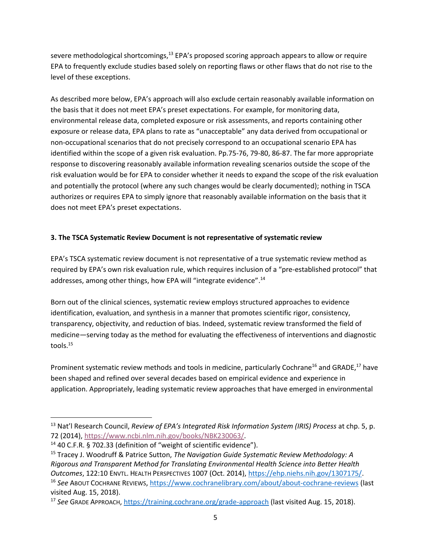severe methodological shortcomings,<sup>13</sup> EPA's proposed scoring approach appears to allow or require EPA to frequently exclude studies based solely on reporting flaws or other flaws that do not rise to the level of these exceptions.

As described more below, EPA's approach will also exclude certain reasonably available information on the basis that it does not meet EPA's preset expectations. For example, for monitoring data, environmental release data, completed exposure or risk assessments, and reports containing other exposure or release data, EPA plans to rate as "unacceptable" any data derived from occupational or non-occupational scenarios that do not precisely correspond to an occupational scenario EPA has identified within the scope of a given risk evaluation. Pp.75-76, 79-80, 86-87. The far more appropriate response to discovering reasonably available information revealing scenarios outside the scope of the risk evaluation would be for EPA to consider whether it needs to expand the scope of the risk evaluation and potentially the protocol (where any such changes would be clearly documented); nothing in TSCA authorizes or requires EPA to simply ignore that reasonably available information on the basis that it does not meet EPA's preset expectations.

# <span id="page-4-0"></span>**3. The TSCA Systematic Review Document is not representative of systematic review**

EPA's TSCA systematic review document is not representative of a true systematic review method as required by EPA's own risk evaluation rule, which requires inclusion of a "pre-established protocol" that addresses, among other things, how EPA will "integrate evidence".<sup>14</sup>

Born out of the clinical sciences, systematic review employs structured approaches to evidence identification, evaluation, and synthesis in a manner that promotes scientific rigor, consistency, transparency, objectivity, and reduction of bias. Indeed, systematic review transformed the field of medicine—serving today as the method for evaluating the effectiveness of interventions and diagnostic tools.<sup>15</sup>

Prominent systematic review methods and tools in medicine, particularly Cochrane<sup>16</sup> and GRADE,<sup>17</sup> have been shaped and refined over several decades based on empirical evidence and experience in application. Appropriately, leading systematic review approaches that have emerged in environmental

<sup>13</sup> Nat'l Research Council, *Review of EPA's Integrated Risk Information System (IRIS) Process* at chp. 5, p. 72 (2014), [https://www.ncbi.nlm.nih.gov/books/NBK230063/.](https://www.nap.edu/catalog/18764/review-of-epas-integrated-risk-information-system-iris-process.https:/www.ncbi.nlm.nih.gov/books/NBK230063/)

<sup>&</sup>lt;sup>14</sup> 40 C.F.R. § 702.33 (definition of "weight of scientific evidence").

<sup>15</sup> Tracey J. Woodruff & Patrice Sutton, *The Navigation Guide Systematic Review Methodology: A Rigorous and Transparent Method for Translating Environmental Health Science into Better Health Outcomes*, 122:10 ENVTL. HEALTH PERSPECTIVES 1007 (Oct. 2014), [https://ehp.niehs.nih.gov/1307175/.](https://ehp.niehs.nih.gov/1307175/) <sup>16</sup> *See* ABOUT COCHRANE REVIEWS,<https://www.cochranelibrary.com/about/about-cochrane-reviews> (last visited Aug. 15, 2018).

<sup>17</sup> *See* GRADE APPROACH,<https://training.cochrane.org/grade-approach> (last visited Aug. 15, 2018).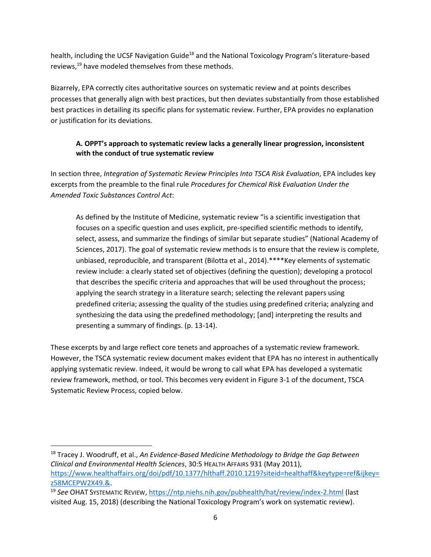health, including the UCSF Navigation Guide<sup>18</sup> and the National Toxicology Program's literature-based reviews,<sup>19</sup> have modeled themselves from these methods.

Bizarrely, EPA correctly cites authoritative sources on systematic review and at points describes processes that generally align with best practices, but then deviates substantially from those established best practices in detailing its specific plans for systematic review. Further, EPA provides no explanation or justification for its deviations.

# <span id="page-5-0"></span>**A. OPPT's approach to systematic review lacks a generally linear progression, inconsistent with the conduct of true systematic review**

In section three, *Integration of Systematic Review Principles Into TSCA Risk Evaluation*, EPA includes key excerpts from the preamble to the final rule *Procedures for Chemical Risk Evaluation Under the Amended Toxic Substances Control Act*:

As defined by the Institute of Medicine, systematic review "is a scientific investigation that focuses on a specific question and uses explicit, pre-specified scientific methods to identify, select, assess, and summarize the findings of similar but separate studies" (National Academy of Sciences, 2017). The goal of systematic review methods is to ensure that the review is complete, unbiased, reproducible, and transparent (Bilotta et al., 2014).\*\*\*\*Key elements of systematic review include: a clearly stated set of objectives (defining the question); developing a protocol that describes the specific criteria and approaches that will be used throughout the process; applying the search strategy in a literature search; selecting the relevant papers using predefined criteria; assessing the quality of the studies using predefined criteria; analyzing and synthesizing the data using the predefined methodology; [and] interpreting the results and presenting a summary of findings. (p. 13-14).

These excerpts by and large reflect core tenets and approaches of a systematic review framework. However, the TSCA systematic review document makes evident that EPA has no interest in authentically applying systematic review. Indeed, it would be wrong to call what EPA has developed a systematic review framework, method, or tool. This becomes very evident in Figure 3-1 of the document, TSCA Systematic Review Process, copied below.

<sup>18</sup> Tracey J. Woodruff, et al., *An Evidence-Based Medicine Methodology to Bridge the Gap Between Clinical and Environmental Health Sciences*, 30:5 HEALTH AFFAIRS 931 (May 2011), [https://www.healthaffairs.org/doi/pdf/10.1377/hlthaff.2010.1219?siteid=healthaff&keytype=ref&ijkey=](https://www.healthaffairs.org/doi/pdf/10.1377/hlthaff.2010.1219?siteid=healthaff&keytype=ref&ijkey=z58MCEPW2X49.&) [z58MCEPW2X49.&.](https://www.healthaffairs.org/doi/pdf/10.1377/hlthaff.2010.1219?siteid=healthaff&keytype=ref&ijkey=z58MCEPW2X49.&)

<sup>19</sup> *See* OHAT SYSTEMATIC REVIEW[, https://ntp.niehs.nih.gov/pubhealth/hat/review/index-2.html](https://ntp.niehs.nih.gov/pubhealth/hat/review/index-2.html) (last visited Aug. 15, 2018) (describing the National Toxicology Program's work on systematic review).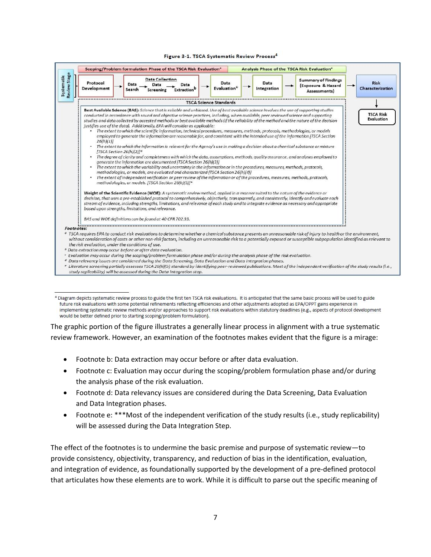#### Figure 3-1. TSCA Systematic Review Process<sup>4</sup>



<sup>&</sup>lt;sup>4</sup> Diagram depicts systematic review process to guide the first ten TSCA risk evaluations. It is anticipated that the same basic process will be used to guide future risk evaluations with some potential refinements reflecting efficiencies and other adjustments adopted as EPA/OPPT gains experience in implementing systematic review methods and/or approaches to support risk evaluations within statutory deadlines (e.g., aspects of protocol development would be better defined prior to starting scoping/problem formulation).

The graphic portion of the figure illustrates a generally linear process in alignment with a true systematic review framework. However, an examination of the footnotes makes evident that the figure is a mirage:

- Footnote b: Data extraction may occur before or after data evaluation.
- Footnote c: Evaluation may occur during the scoping/problem formulation phase and/or during the analysis phase of the risk evaluation.
- Footnote d: Data relevancy issues are considered during the Data Screening, Data Evaluation and Data Integration phases.
- Footnote e: \*\*\*Most of the independent verification of the study results (i.e., study replicability) will be assessed during the Data Integration Step.

The effect of the footnotes is to undermine the basic premise and purpose of systematic review—to provide consistency, objectivity, transparency, and reduction of bias in the identification, evaluation, and integration of evidence, as foundationally supported by the development of a pre-defined protocol that articulates how these elements are to work. While it is difficult to parse out the specific meaning of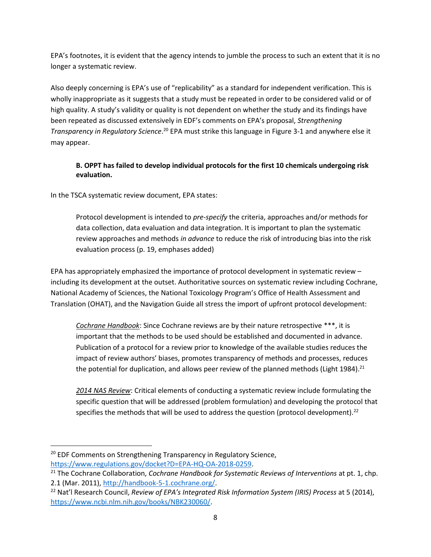EPA's footnotes, it is evident that the agency intends to jumble the process to such an extent that it is no longer a systematic review.

Also deeply concerning is EPA's use of "replicability" as a standard for independent verification. This is wholly inappropriate as it suggests that a study must be repeated in order to be considered valid or of high quality. A study's validity or quality is not dependent on whether the study and its findings have been repeated as discussed extensively in EDF's comments on EPA's proposal, *Strengthening Transparency in Regulatory Science*. <sup>20</sup> EPA must strike this language in Figure 3-1 and anywhere else it may appear.

# <span id="page-7-0"></span>**B. OPPT has failed to develop individual protocols for the first 10 chemicals undergoing risk evaluation.**

In the TSCA systematic review document, EPA states:

Protocol development is intended to *pre-specify* the criteria, approaches and/or methods for data collection, data evaluation and data integration. It is important to plan the systematic review approaches and methods *in advance* to reduce the risk of introducing bias into the risk evaluation process (p. 19, emphases added)

EPA has appropriately emphasized the importance of protocol development in systematic review – including its development at the outset. Authoritative sources on systematic review including Cochrane, National Academy of Sciences, the National Toxicology Program's Office of Health Assessment and Translation (OHAT), and the Navigation Guide all stress the import of upfront protocol development:

*Cochrane Handbook*: Since Cochrane reviews are by their nature retrospective \*\*\*, it is important that the methods to be used should be established and documented in advance. Publication of a protocol for a review prior to knowledge of the available studies reduces the impact of review authors' biases, promotes transparency of methods and processes, reduces the potential for duplication, and allows peer review of the planned methods (Light 1984).<sup>21</sup>

*2014 NAS Review*: Critical elements of conducting a systematic review include formulating the specific question that will be addressed (problem formulation) and developing the protocol that specifies the methods that will be used to address the question (protocol development).<sup>22</sup>

<sup>&</sup>lt;sup>20</sup> EDF Comments on Strengthening Transparency in Regulatory Science,

https://www.regulations.gov/docket?D=EPA-HQ-OA-2018-0259.

<sup>21</sup> The Cochrane Collaboration, *Cochrane Handbook for Systematic Reviews of Interventions* at pt. 1, chp. 2.1 (Mar. 2011), [http://handbook-5-1.cochrane.org/.](http://handbook-5-1.cochrane.org/)

<sup>22</sup> Nat'l Research Council, *Review of EPA's Integrated Risk Information System (IRIS) Process* at 5 (2014), [https://www.ncbi.nlm.nih.gov/books/NBK230060/.](https://www.ncbi.nlm.nih.gov/books/NBK230060/)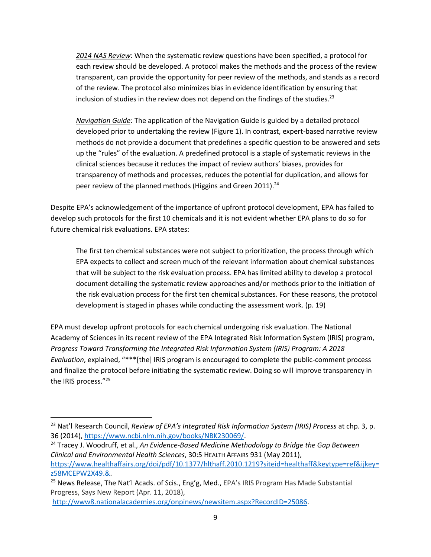*2014 NAS Review*: When the systematic review questions have been specified, a protocol for each review should be developed. A protocol makes the methods and the process of the review transparent, can provide the opportunity for peer review of the methods, and stands as a record of the review. The protocol also minimizes bias in evidence identification by ensuring that inclusion of studies in the review does not depend on the findings of the studies. $^{23}$ 

*Navigation Guide*: The application of the Navigation Guide is guided by a detailed protocol developed prior to undertaking the review (Figure 1). In contrast, expert-based narrative review methods do not provide a document that predefines a specific question to be answered and sets up the "rules" of the evaluation. A predefined protocol is a staple of systematic reviews in the clinical sciences because it reduces the impact of review authors' biases, provides for transparency of methods and processes, reduces the potential for duplication, and allows for peer review of the planned methods (Higgins and Green 2011). $^{24}$ 

Despite EPA's acknowledgement of the importance of upfront protocol development, EPA has failed to develop such protocols for the first 10 chemicals and it is not evident whether EPA plans to do so for future chemical risk evaluations. EPA states:

The first ten chemical substances were not subject to prioritization, the process through which EPA expects to collect and screen much of the relevant information about chemical substances that will be subject to the risk evaluation process. EPA has limited ability to develop a protocol document detailing the systematic review approaches and/or methods prior to the initiation of the risk evaluation process for the first ten chemical substances. For these reasons, the protocol development is staged in phases while conducting the assessment work. (p. 19)

EPA must develop upfront protocols for each chemical undergoing risk evaluation. The National Academy of Sciences in its recent review of the EPA Integrated Risk Information System (IRIS) program, *Progress Toward Transforming the Integrated Risk Information System (IRIS) Program: A 2018 Evaluation*, explained, "\*\*\*[the] IRIS program is encouraged to complete the public-comment process and finalize the protocol before initiating the systematic review. Doing so will improve transparency in the IRIS process."<sup>25</sup>

<sup>24</sup> Tracey J. Woodruff, et al., *An Evidence-Based Medicine Methodology to Bridge the Gap Between Clinical and Environmental Health Sciences*, 30:5 HEALTH AFFAIRS 931 (May 2011), [https://www.healthaffairs.org/doi/pdf/10.1377/hlthaff.2010.1219?siteid=healthaff&keytype=ref&ijkey=](https://www.healthaffairs.org/doi/pdf/10.1377/hlthaff.2010.1219?siteid=healthaff&keytype=ref&ijkey=z58MCEPW2X49.&) [z58MCEPW2X49.&.](https://www.healthaffairs.org/doi/pdf/10.1377/hlthaff.2010.1219?siteid=healthaff&keytype=ref&ijkey=z58MCEPW2X49.&)

<sup>23</sup> Nat'l Research Council, *Review of EPA's Integrated Risk Information System (IRIS) Process* at chp. 3, p. 36 (2014), [https://www.ncbi.nlm.nih.gov/books/NBK230069/.](https://www.ncbi.nlm.nih.gov/books/NBK230069/)

<sup>&</sup>lt;sup>25</sup> News Release, The Nat'l Acads. of Scis., Eng'g, Med., EPA's IRIS Program Has Made Substantial Progress, Says New Report (Apr. 11, 2018),

[http://www8.nationalacademies.org/onpinews/newsitem.aspx?RecordID=25086.](http://www8.nationalacademies.org/onpinews/newsitem.aspx?RecordID=25086)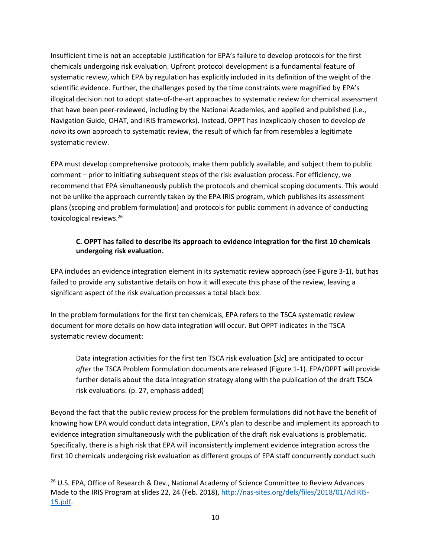Insufficient time is not an acceptable justification for EPA's failure to develop protocols for the first chemicals undergoing risk evaluation. Upfront protocol development is a fundamental feature of systematic review, which EPA by regulation has explicitly included in its definition of the weight of the scientific evidence. Further, the challenges posed by the time constraints were magnified by EPA's illogical decision not to adopt state-of-the-art approaches to systematic review for chemical assessment that have been peer-reviewed, including by the National Academies, and applied and published (i.e., Navigation Guide, OHAT, and IRIS frameworks). Instead, OPPT has inexplicably chosen to develop *de novo* its own approach to systematic review, the result of which far from resembles a legitimate systematic review.

EPA must develop comprehensive protocols, make them publicly available, and subject them to public comment – prior to initiating subsequent steps of the risk evaluation process. For efficiency, we recommend that EPA simultaneously publish the protocols and chemical scoping documents. This would not be unlike the approach currently taken by the EPA IRIS program, which publishes its assessment plans (scoping and problem formulation) and protocols for public comment in advance of conducting toxicological reviews.<sup>26</sup>

# <span id="page-9-0"></span>**C. OPPT has failed to describe its approach to evidence integration for the first 10 chemicals undergoing risk evaluation.**

EPA includes an evidence integration element in its systematic review approach (see Figure 3-1), but has failed to provide any substantive details on how it will execute this phase of the review, leaving a significant aspect of the risk evaluation processes a total black box.

In the problem formulations for the first ten chemicals, EPA refers to the TSCA systematic review document for more details on how data integration will occur. But OPPT indicates in the TSCA systematic review document:

Data integration activities for the first ten TSCA risk evaluation [*sic*] are anticipated to occur *after* the TSCA Problem Formulation documents are released (Figure 1-1). EPA/OPPT will provide further details about the data integration strategy along with the publication of the draft TSCA risk evaluations. (p. 27, emphasis added)

Beyond the fact that the public review process for the problem formulations did not have the benefit of knowing how EPA would conduct data integration, EPA's plan to describe and implement its approach to evidence integration simultaneously with the publication of the draft risk evaluations is problematic. Specifically, there is a high risk that EPA will inconsistently implement evidence integration across the first 10 chemicals undergoing risk evaluation as different groups of EPA staff concurrently conduct such

<sup>&</sup>lt;sup>26</sup> U.S. EPA, Office of Research & Dev., National Academy of Science Committee to Review Advances Made to the IRIS Program at slides 22, 24 (Feb. 2018), [http://nas-sites.org/dels/files/2018/01/AdIRIS-](http://nas-sites.org/dels/files/2018/01/AdIRIS-15.pdf)[15.pdf.](http://nas-sites.org/dels/files/2018/01/AdIRIS-15.pdf)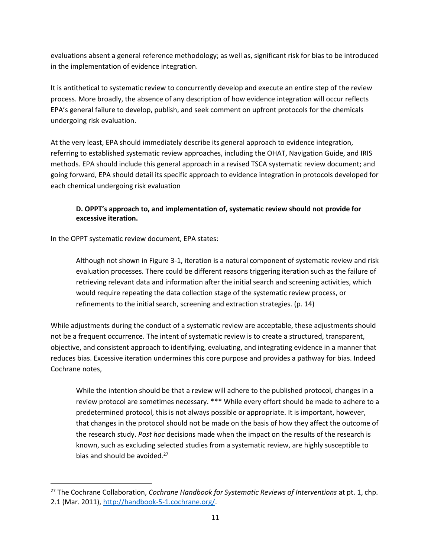evaluations absent a general reference methodology; as well as, significant risk for bias to be introduced in the implementation of evidence integration.

It is antithetical to systematic review to concurrently develop and execute an entire step of the review process. More broadly, the absence of any description of how evidence integration will occur reflects EPA's general failure to develop, publish, and seek comment on upfront protocols for the chemicals undergoing risk evaluation.

At the very least, EPA should immediately describe its general approach to evidence integration, referring to established systematic review approaches, including the OHAT, Navigation Guide, and IRIS methods. EPA should include this general approach in a revised TSCA systematic review document; and going forward, EPA should detail its specific approach to evidence integration in protocols developed for each chemical undergoing risk evaluation

# <span id="page-10-0"></span>**D. OPPT's approach to, and implementation of, systematic review should not provide for excessive iteration.**

In the OPPT systematic review document, EPA states:

 $\overline{a}$ 

Although not shown in Figure 3-1, iteration is a natural component of systematic review and risk evaluation processes. There could be different reasons triggering iteration such as the failure of retrieving relevant data and information after the initial search and screening activities, which would require repeating the data collection stage of the systematic review process, or refinements to the initial search, screening and extraction strategies. (p. 14)

While adjustments during the conduct of a systematic review are acceptable, these adjustments should not be a frequent occurrence. The intent of systematic review is to create a structured, transparent, objective, and consistent approach to identifying, evaluating, and integrating evidence in a manner that reduces bias. Excessive iteration undermines this core purpose and provides a pathway for bias. Indeed Cochrane notes,

While the intention should be that a review will adhere to the published protocol, changes in a review protocol are sometimes necessary. \*\*\* While every effort should be made to adhere to a predetermined protocol, this is not always possible or appropriate. It is important, however, that changes in the protocol should not be made on the basis of how they affect the outcome of the research study. *Post hoc* decisions made when the impact on the results of the research is known, such as excluding selected studies from a systematic review, are highly susceptible to bias and should be avoided. $27$ 

<sup>27</sup> The Cochrane Collaboration, *Cochrane Handbook for Systematic Reviews of Interventions* at pt. 1, chp. 2.1 (Mar. 2011), [http://handbook-5-1.cochrane.org/.](http://handbook-5-1.cochrane.org/)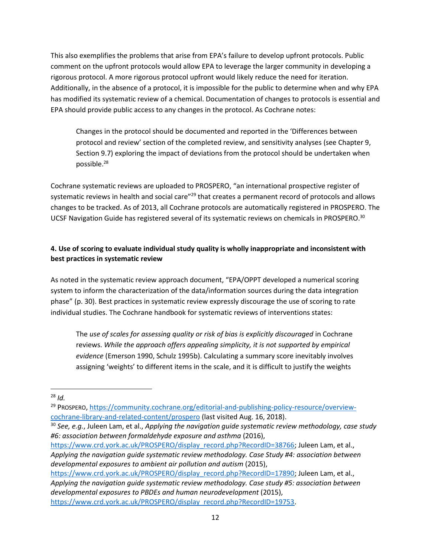This also exemplifies the problems that arise from EPA's failure to develop upfront protocols. Public comment on the upfront protocols would allow EPA to leverage the larger community in developing a rigorous protocol. A more rigorous protocol upfront would likely reduce the need for iteration. Additionally, in the absence of a protocol, it is impossible for the public to determine when and why EPA has modified its systematic review of a chemical. Documentation of changes to protocols is essential and EPA should provide public access to any changes in the protocol. As Cochrane notes:

Changes in the protocol should be documented and reported in the 'Differences between protocol and review' section of the completed review, and sensitivity analyses (see Chapter 9, Section 9.7) exploring the impact of deviations from the protocol should be undertaken when possible.<sup>28</sup>

Cochrane systematic reviews are uploaded to PROSPERO, "an international prospective register of systematic reviews in health and social care"<sup>29</sup> that creates a permanent record of protocols and allows changes to be tracked. As of 2013, all Cochrane protocols are automatically registered in PROSPERO. The UCSF Navigation Guide has registered several of its systematic reviews on chemicals in PROSPERO.<sup>30</sup>

# <span id="page-11-0"></span>**4. Use of scoring to evaluate individual study quality is wholly inappropriate and inconsistent with best practices in systematic review**

As noted in the systematic review approach document, "EPA/OPPT developed a numerical scoring system to inform the characterization of the data/information sources during the data integration phase" (p. 30). Best practices in systematic review expressly discourage the use of scoring to rate individual studies. The Cochrane handbook for systematic reviews of interventions states:

The *use of scales for assessing quality or risk of bias is explicitly discouraged* in Cochrane reviews. *While the approach offers appealing simplicity, it is not supported by empirical evidence* (Emerson 1990, Schulz 1995b). Calculating a summary score inevitably involves assigning 'weights' to different items in the scale, and it is difficult to justify the weights

 $\overline{a}$ 

[https://www.crd.york.ac.uk/PROSPERO/display\\_record.php?RecordID=17890;](https://www.crd.york.ac.uk/PROSPERO/display_record.php?RecordID=17890) Juleen Lam, et al., *Applying the navigation guide systematic review methodology. Case study #5: association between developmental exposures to PBDEs and human neurodevelopment* (2015), [https://www.crd.york.ac.uk/PROSPERO/display\\_record.php?RecordID=19753.](https://www.crd.york.ac.uk/PROSPERO/display_record.php?RecordID=19753)

<sup>28</sup> *Id.*

<sup>29</sup> PROSPERO, [https://community.cochrane.org/editorial-and-publishing-policy-resource/overview](https://community.cochrane.org/editorial-and-publishing-policy-resource/overview-cochrane-library-and-related-content/prospero)[cochrane-library-and-related-content/prospero](https://community.cochrane.org/editorial-and-publishing-policy-resource/overview-cochrane-library-and-related-content/prospero) (last visited Aug. 16, 2018).

<sup>30</sup> *See, e.g.*, Juleen Lam, et al., *Applying the navigation guide systematic review methodology, case study #6: association between formaldehyde exposure and asthma* (2016),

[https://www.crd.york.ac.uk/PROSPERO/display\\_record.php?RecordID=38766;](https://www.crd.york.ac.uk/PROSPERO/display_record.php?RecordID=38766) Juleen Lam, et al., *Applying the navigation guide systematic review methodology. Case Study #4: association between developmental exposures to ambient air pollution and autism* (2015),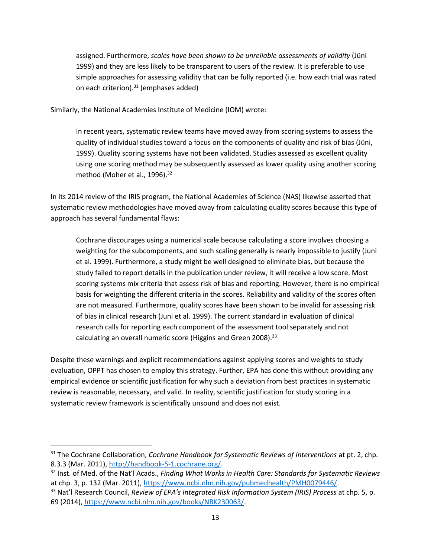assigned. Furthermore, *scales have been shown to be unreliable assessments of validity* (Jüni 1999) and they are less likely to be transparent to users of the review. It is preferable to use simple approaches for assessing validity that can be fully reported (i.e. how each trial was rated on each criterion). $31$  (emphases added)

Similarly, the National Academies Institute of Medicine (IOM) wrote:

In recent years, systematic review teams have moved away from scoring systems to assess the quality of individual studies toward a focus on the components of quality and risk of bias (Jüni, 1999). Quality scoring systems have not been validated. Studies assessed as excellent quality using one scoring method may be subsequently assessed as lower quality using another scoring method (Moher et al., 1996).<sup>32</sup>

In its 2014 review of the IRIS program, the National Academies of Science (NAS) likewise asserted that systematic review methodologies have moved away from calculating quality scores because this type of approach has several fundamental flaws:

Cochrane discourages using a numerical scale because calculating a score involves choosing a weighting for the subcomponents, and such scaling generally is nearly impossible to justify (Juni et al. 1999). Furthermore, a study might be well designed to eliminate bias, but because the study failed to report details in the publication under review, it will receive a low score. Most scoring systems mix criteria that assess risk of bias and reporting. However, there is no empirical basis for weighting the different criteria in the scores. Reliability and validity of the scores often are not measured. Furthermore, quality scores have been shown to be invalid for assessing risk of bias in clinical research (Juni et al. 1999). The current standard in evaluation of clinical research calls for reporting each component of the assessment tool separately and not calculating an overall numeric score (Higgins and Green 2008).<sup>33</sup>

Despite these warnings and explicit recommendations against applying scores and weights to study evaluation, OPPT has chosen to employ this strategy. Further, EPA has done this without providing any empirical evidence or scientific justification for why such a deviation from best practices in systematic review is reasonable, necessary, and valid. In reality, scientific justification for study scoring in a systematic review framework is scientifically unsound and does not exist.

<sup>31</sup> The Cochrane Collaboration, *Cochrane Handbook for Systematic Reviews of Interventions* at pt. 2, chp. 8.3.3 (Mar. 2011)[, http://handbook-5-1.cochrane.org/.](http://handbook-5-1.cochrane.org/)

<sup>32</sup> Inst. of Med. of the Nat'l Acads., *Finding What Works in Health Care: Standards for Systematic Reviews* at chp. 3, p. 132 (Mar. 2011), [https://www.ncbi.nlm.nih.gov/pubmedhealth/PMH0079446/.](https://www.ncbi.nlm.nih.gov/pubmedhealth/PMH0079446/)

<sup>33</sup> Nat'l Research Council, *Review of EPA's Integrated Risk Information System (IRIS) Process* at chp. 5, p. 69 (2014), [https://www.ncbi.nlm.nih.gov/books/NBK230063/.](https://www.ncbi.nlm.nih.gov/books/NBK230063/)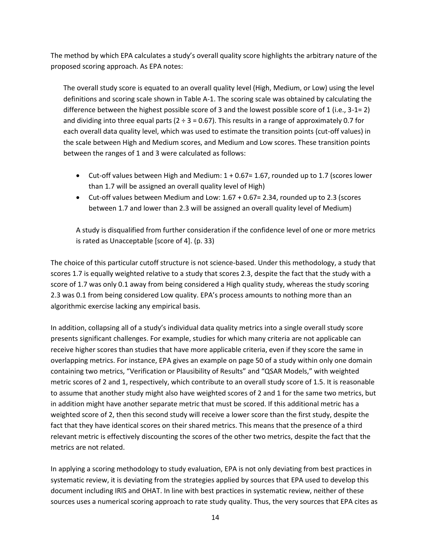The method by which EPA calculates a study's overall quality score highlights the arbitrary nature of the proposed scoring approach. As EPA notes:

The overall study score is equated to an overall quality level (High, Medium, or Low) using the level definitions and scoring scale shown in Table A-1. The scoring scale was obtained by calculating the difference between the highest possible score of 3 and the lowest possible score of 1 (i.e., 3-1= 2) and dividing into three equal parts ( $2 \div 3 = 0.67$ ). This results in a range of approximately 0.7 for each overall data quality level, which was used to estimate the transition points (cut-off values) in the scale between High and Medium scores, and Medium and Low scores. These transition points between the ranges of 1 and 3 were calculated as follows:

- Cut-off values between High and Medium: 1 + 0.67= 1.67, rounded up to 1.7 (scores lower than 1.7 will be assigned an overall quality level of High)
- Cut-off values between Medium and Low: 1.67 + 0.67= 2.34, rounded up to 2.3 (scores between 1.7 and lower than 2.3 will be assigned an overall quality level of Medium)

A study is disqualified from further consideration if the confidence level of one or more metrics is rated as Unacceptable [score of 4]. (p. 33)

The choice of this particular cutoff structure is not science-based. Under this methodology, a study that scores 1.7 is equally weighted relative to a study that scores 2.3, despite the fact that the study with a score of 1.7 was only 0.1 away from being considered a High quality study, whereas the study scoring 2.3 was 0.1 from being considered Low quality. EPA's process amounts to nothing more than an algorithmic exercise lacking any empirical basis.

In addition, collapsing all of a study's individual data quality metrics into a single overall study score presents significant challenges. For example, studies for which many criteria are not applicable can receive higher scores than studies that have more applicable criteria, even if they score the same in overlapping metrics. For instance, EPA gives an example on page 50 of a study within only one domain containing two metrics, "Verification or Plausibility of Results" and "QSAR Models," with weighted metric scores of 2 and 1, respectively, which contribute to an overall study score of 1.5. It is reasonable to assume that another study might also have weighted scores of 2 and 1 for the same two metrics, but in addition might have another separate metric that must be scored. If this additional metric has a weighted score of 2, then this second study will receive a lower score than the first study, despite the fact that they have identical scores on their shared metrics. This means that the presence of a third relevant metric is effectively discounting the scores of the other two metrics, despite the fact that the metrics are not related.

In applying a scoring methodology to study evaluation, EPA is not only deviating from best practices in systematic review, it is deviating from the strategies applied by sources that EPA used to develop this document including IRIS and OHAT. In line with best practices in systematic review, neither of these sources uses a numerical scoring approach to rate study quality. Thus, the very sources that EPA cites as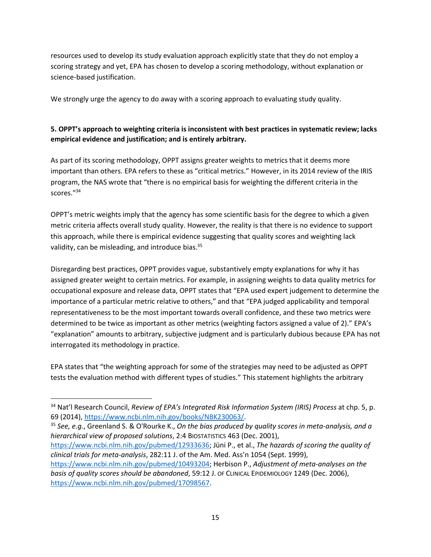resources used to develop its study evaluation approach explicitly state that they do not employ a scoring strategy and yet, EPA has chosen to develop a scoring methodology, without explanation or science-based justification.

We strongly urge the agency to do away with a scoring approach to evaluating study quality.

# <span id="page-14-0"></span>**5. OPPT's approach to weighting criteria is inconsistent with best practices in systematic review; lacks empirical evidence and justification; and is entirely arbitrary.**

As part of its scoring methodology, OPPT assigns greater weights to metrics that it deems more important than others. EPA refers to these as "critical metrics." However, in its 2014 review of the IRIS program, the NAS wrote that "there is no empirical basis for weighting the different criteria in the scores."<sup>34</sup>

OPPT's metric weights imply that the agency has some scientific basis for the degree to which a given metric criteria affects overall study quality. However, the reality is that there is no evidence to support this approach, while there is empirical evidence suggesting that quality scores and weighting lack validity, can be misleading, and introduce bias.<sup>35</sup>

Disregarding best practices, OPPT provides vague, substantively empty explanations for why it has assigned greater weight to certain metrics. For example, in assigning weights to data quality metrics for occupational exposure and release data, OPPT states that "EPA used expert judgement to determine the importance of a particular metric relative to others," and that "EPA judged applicability and temporal representativeness to be the most important towards overall confidence, and these two metrics were determined to be twice as important as other metrics (weighting factors assigned a value of 2)." EPA's "explanation" amounts to arbitrary, subjective judgment and is particularly dubious because EPA has not interrogated its methodology in practice.

EPA states that "the weighting approach for some of the strategies may need to be adjusted as OPPT tests the evaluation method with different types of studies." This statement highlights the arbitrary

 $\overline{a}$ 

<sup>35</sup> *See, e.g.*, Greenland S. & O'Rourke K., *On the bias produced by quality scores in meta-analysis, and a hierarchical view of proposed solutions*, 2:4 BIOSTATISTICS 463 (Dec. 2001),

[https://www.ncbi.nlm.nih.gov/pubmed/12933636;](https://www.ncbi.nlm.nih.gov/pubmed/12933636) [Jüni P.](https://www.ncbi.nlm.nih.gov/pubmed/?term=J%C3%BCni%20P%5BAuthor%5D&cauthor=true&cauthor_uid=10493204), et al., *The hazards of scoring the quality of clinical trials for meta-analysis*, 282:11 J. of the Am. Med. Ass'n 1054 (Sept. 1999),

[https://www.ncbi.nlm.nih.gov/pubmed/10493204;](https://www.ncbi.nlm.nih.gov/pubmed/10493204) Herbison P., *Adjustment of meta-analyses on the basis of quality scores should be abandoned*, 59:12 J. OF CLINICAL EPIDEMIOLOGY 1249 (Dec. 2006), [https://www.ncbi.nlm.nih.gov/pubmed/17098567.](https://www.ncbi.nlm.nih.gov/pubmed/17098567)

<sup>34</sup> Nat'l Research Council, *Review of EPA's Integrated Risk Information System (IRIS) Process* at chp. 5, p. 69 (2014), [https://www.ncbi.nlm.nih.gov/books/NBK230063/.](https://www.ncbi.nlm.nih.gov/books/NBK230063/)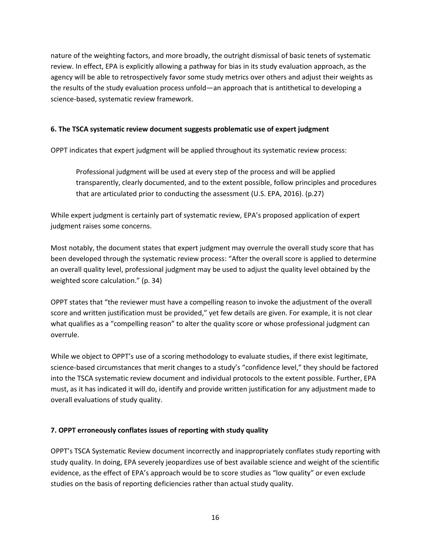nature of the weighting factors, and more broadly, the outright dismissal of basic tenets of systematic review. In effect, EPA is explicitly allowing a pathway for bias in its study evaluation approach, as the agency will be able to retrospectively favor some study metrics over others and adjust their weights as the results of the study evaluation process unfold—an approach that is antithetical to developing a science-based, systematic review framework.

#### <span id="page-15-0"></span>**6. The TSCA systematic review document suggests problematic use of expert judgment**

OPPT indicates that expert judgment will be applied throughout its systematic review process:

Professional judgment will be used at every step of the process and will be applied transparently, clearly documented, and to the extent possible, follow principles and procedures that are articulated prior to conducting the assessment (U.S. EPA, 2016). (p.27)

While expert judgment is certainly part of systematic review, EPA's proposed application of expert judgment raises some concerns.

Most notably, the document states that expert judgment may overrule the overall study score that has been developed through the systematic review process: "After the overall score is applied to determine an overall quality level, professional judgment may be used to adjust the quality level obtained by the weighted score calculation." (p. 34)

OPPT states that "the reviewer must have a compelling reason to invoke the adjustment of the overall score and written justification must be provided," yet few details are given. For example, it is not clear what qualifies as a "compelling reason" to alter the quality score or whose professional judgment can overrule.

While we object to OPPT's use of a scoring methodology to evaluate studies, if there exist legitimate, science-based circumstances that merit changes to a study's "confidence level," they should be factored into the TSCA systematic review document and individual protocols to the extent possible. Further, EPA must, as it has indicated it will do, identify and provide written justification for any adjustment made to overall evaluations of study quality.

### <span id="page-15-1"></span>**7. OPPT erroneously conflates issues of reporting with study quality**

OPPT's TSCA Systematic Review document incorrectly and inappropriately conflates study reporting with study quality. In doing, EPA severely jeopardizes use of best available science and weight of the scientific evidence, as the effect of EPA's approach would be to score studies as "low quality" or even exclude studies on the basis of reporting deficiencies rather than actual study quality.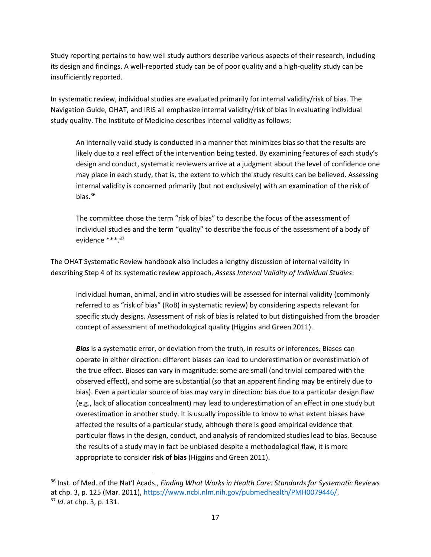Study reporting pertains to how well study authors describe various aspects of their research, including its design and findings. A well-reported study can be of poor quality and a high-quality study can be insufficiently reported.

In systematic review, individual studies are evaluated primarily for internal validity/risk of bias. The Navigation Guide, OHAT, and IRIS all emphasize internal validity/risk of bias in evaluating individual study quality. The Institute of Medicine describes internal validity as follows:

An internally valid study is conducted in a manner that minimizes bias so that the results are likely due to a real effect of the intervention being tested. By examining features of each study's design and conduct, systematic reviewers arrive at a judgment about the level of confidence one may place in each study, that is, the extent to which the study results can be believed. Assessing internal validity is concerned primarily (but not exclusively) with an examination of the risk of bias. $36$ 

The committee chose the term "risk of bias" to describe the focus of the assessment of individual studies and the term "quality" to describe the focus of the assessment of a body of evidence \*\*\*.<sup>37</sup>

The OHAT Systematic Review handbook also includes a lengthy discussion of internal validity in describing Step 4 of its systematic review approach, *Assess Internal Validity of Individual Studies*:

Individual human, animal, and in vitro studies will be assessed for internal validity (commonly referred to as "risk of bias" (RoB) in systematic review) by considering aspects relevant for specific study designs. Assessment of risk of bias is related to but distinguished from the broader concept of assessment of methodological quality (Higgins and Green 2011).

*Bias* is a systematic error, or deviation from the truth, in results or inferences. Biases can operate in either direction: different biases can lead to underestimation or overestimation of the true effect. Biases can vary in magnitude: some are small (and trivial compared with the observed effect), and some are substantial (so that an apparent finding may be entirely due to bias). Even a particular source of bias may vary in direction: bias due to a particular design flaw (e.g., lack of allocation concealment) may lead to underestimation of an effect in one study but overestimation in another study. It is usually impossible to know to what extent biases have affected the results of a particular study, although there is good empirical evidence that particular flaws in the design, conduct, and analysis of randomized studies lead to bias. Because the results of a study may in fact be unbiased despite a methodological flaw, it is more appropriate to consider **risk of bias** (Higgins and Green 2011).

<sup>36</sup> Inst. of Med. of the Nat'l Acads., *Finding What Works in Health Care: Standards for Systematic Reviews* at chp. 3, p. 125 (Mar. 2011), [https://www.ncbi.nlm.nih.gov/pubmedhealth/PMH0079446/.](https://www.ncbi.nlm.nih.gov/pubmedhealth/PMH0079446/) <sup>37</sup> *Id*. at chp. 3, p. 131.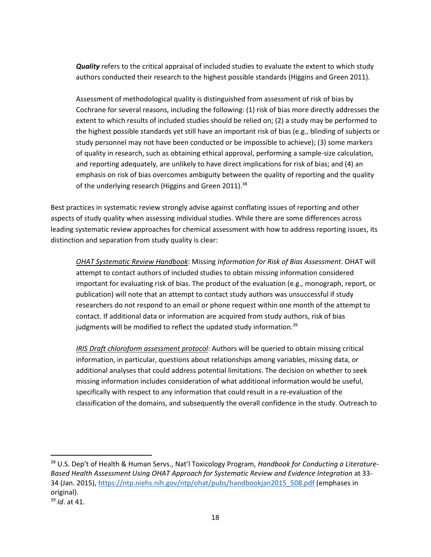*Quality* refers to the critical appraisal of included studies to evaluate the extent to which study authors conducted their research to the highest possible standards (Higgins and Green 2011).

Assessment of methodological quality is distinguished from assessment of risk of bias by Cochrane for several reasons, including the following: (1) risk of bias more directly addresses the extent to which results of included studies should be relied on; (2) a study may be performed to the highest possible standards yet still have an important risk of bias (e.g., blinding of subjects or study personnel may not have been conducted or be impossible to achieve); (3) some markers of quality in research, such as obtaining ethical approval, performing a sample-size calculation, and reporting adequately, are unlikely to have direct implications for risk of bias; and (4) an emphasis on risk of bias overcomes ambiguity between the quality of reporting and the quality of the underlying research (Higgins and Green 2011).<sup>38</sup>

Best practices in systematic review strongly advise against conflating issues of reporting and other aspects of study quality when assessing individual studies. While there are some differences across leading systematic review approaches for chemical assessment with how to address reporting issues, its distinction and separation from study quality is clear:

*OHAT Systematic Review Handbook*: Missing *Information for Risk of Bias Assessment*. OHAT will attempt to contact authors of included studies to obtain missing information considered important for evaluating risk of bias. The product of the evaluation (e.g., monograph, report, or publication) will note that an attempt to contact study authors was unsuccessful if study researchers do not respond to an email or phone request within one month of the attempt to contact. If additional data or information are acquired from study authors, risk of bias judgments will be modified to reflect the updated study information.<sup>39</sup>

*IRIS Draft chloroform assessment protocol*: Authors will be queried to obtain missing critical information, in particular, questions about relationships among variables, missing data, or additional analyses that could address potential limitations. The decision on whether to seek missing information includes consideration of what additional information would be useful, specifically with respect to any information that could result in a re-evaluation of the classification of the domains, and subsequently the overall confidence in the study. Outreach to

<sup>38</sup> U.S. Dep't of Health & Human Servs., Nat'l Toxicology Program, *Handbook for Conducting a Literature-Based Health Assessment Using OHAT Approach for Systematic Review and Evidence Integration* at 33- 34 (Jan. 2015)[, https://ntp.niehs.nih.gov/ntp/ohat/pubs/handbookjan2015\\_508.pdf](https://ntp.niehs.nih.gov/ntp/ohat/pubs/handbookjan2015_508.pdf) (emphases in original).

<sup>39</sup> *Id*. at 41.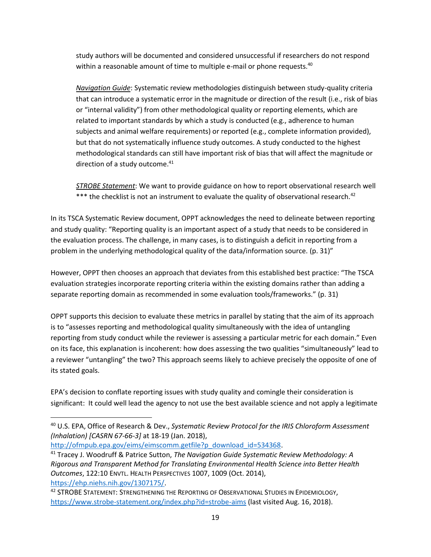study authors will be documented and considered unsuccessful if researchers do not respond within a reasonable amount of time to multiple e-mail or phone requests.<sup>40</sup>

*Navigation Guide*: Systematic review methodologies distinguish between study-quality criteria that can introduce a systematic error in the magnitude or direction of the result (i.e., risk of bias or "internal validity") from other methodological quality or reporting elements, which are related to important standards by which a study is conducted (e.g., adherence to human subjects and animal welfare requirements) or reported (e.g., complete information provided), but that do not systematically influence study outcomes. A study conducted to the highest methodological standards can still have important risk of bias that will affect the magnitude or direction of a study outcome. $41$ 

*STROBE Statement*: We want to provide guidance on how to report observational research well \*\*\* the checklist is not an instrument to evaluate the quality of observational research.<sup>42</sup>

In its TSCA Systematic Review document, OPPT acknowledges the need to delineate between reporting and study quality: "Reporting quality is an important aspect of a study that needs to be considered in the evaluation process. The challenge, in many cases, is to distinguish a deficit in reporting from a problem in the underlying methodological quality of the data/information source. (p. 31)"

However, OPPT then chooses an approach that deviates from this established best practice: "The TSCA evaluation strategies incorporate reporting criteria within the existing domains rather than adding a separate reporting domain as recommended in some evaluation tools/frameworks." (p. 31)

OPPT supports this decision to evaluate these metrics in parallel by stating that the aim of its approach is to "assesses reporting and methodological quality simultaneously with the idea of untangling reporting from study conduct while the reviewer is assessing a particular metric for each domain." Even on its face, this explanation is incoherent: how does assessing the two qualities "simultaneously" lead to a reviewer "untangling" the two? This approach seems likely to achieve precisely the opposite of one of its stated goals.

EPA's decision to conflate reporting issues with study quality and comingle their consideration is significant: It could well lead the agency to not use the best available science and not apply a legitimate

[http://ofmpub.epa.gov/eims/eimscomm.getfile?p\\_download\\_id=534368.](http://ofmpub.epa.gov/eims/eimscomm.getfile?p_download_id=534368)

<sup>40</sup> U.S. EPA, Office of Research & Dev., *Systematic Review Protocol for the IRIS Chloroform Assessment (Inhalation) [CASRN 67-66-3]* at 18-19 (Jan. 2018),

<sup>41</sup> Tracey J. Woodruff & Patrice Sutton, *The Navigation Guide Systematic Review Methodology: A Rigorous and Transparent Method for Translating Environmental Health Science into Better Health Outcomes*, 122:10 ENVTL. HEALTH PERSPECTIVES 1007, 1009 (Oct. 2014), [https://ehp.niehs.nih.gov/1307175/.](https://ehp.niehs.nih.gov/1307175/)

<sup>42</sup> STROBE STATEMENT: STRENGTHENING THE REPORTING OF OBSERVATIONAL STUDIES IN EPIDEMIOLOGY, <https://www.strobe-statement.org/index.php?id=strobe-aims> (last visited Aug. 16, 2018).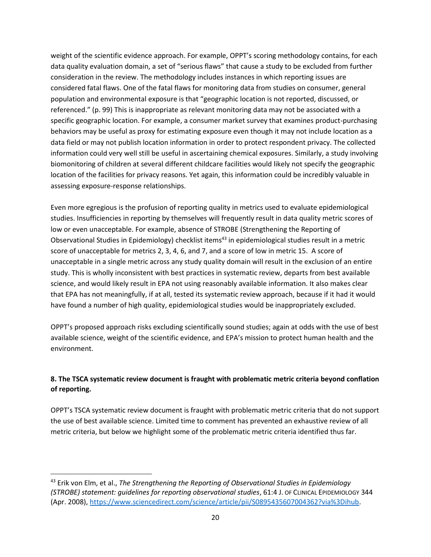weight of the scientific evidence approach. For example, OPPT's scoring methodology contains, for each data quality evaluation domain, a set of "serious flaws" that cause a study to be excluded from further consideration in the review. The methodology includes instances in which reporting issues are considered fatal flaws. One of the fatal flaws for monitoring data from studies on consumer, general population and environmental exposure is that "geographic location is not reported, discussed, or referenced." (p. 99) This is inappropriate as relevant monitoring data may not be associated with a specific geographic location. For example, a consumer market survey that examines product-purchasing behaviors may be useful as proxy for estimating exposure even though it may not include location as a data field or may not publish location information in order to protect respondent privacy. The collected information could very well still be useful in ascertaining chemical exposures. Similarly, a study involving biomonitoring of children at several different childcare facilities would likely not specify the geographic location of the facilities for privacy reasons. Yet again, this information could be incredibly valuable in assessing exposure-response relationships.

Even more egregious is the profusion of reporting quality in metrics used to evaluate epidemiological studies. Insufficiencies in reporting by themselves will frequently result in data quality metric scores of low or even unacceptable. For example, absence of STROBE (Strengthening the Reporting of Observational Studies in Epidemiology) checklist items<sup>43</sup> in epidemiological studies result in a metric score of unacceptable for metrics 2, 3, 4, 6, and 7, and a score of low in metric 15. A score of unacceptable in a single metric across any study quality domain will result in the exclusion of an entire study. This is wholly inconsistent with best practices in systematic review, departs from best available science, and would likely result in EPA not using reasonably available information. It also makes clear that EPA has not meaningfully, if at all, tested its systematic review approach, because if it had it would have found a number of high quality, epidemiological studies would be inappropriately excluded.

OPPT's proposed approach risks excluding scientifically sound studies; again at odds with the use of best available science, weight of the scientific evidence, and EPA's mission to protect human health and the environment.

# <span id="page-19-0"></span>**8. The TSCA systematic review document is fraught with problematic metric criteria beyond conflation of reporting.**

OPPT's TSCA systematic review document is fraught with problematic metric criteria that do not support the use of best available science. Limited time to comment has prevented an exhaustive review of all metric criteria, but below we highlight some of the problematic metric criteria identified thus far.

<sup>43</sup> Erik von Elm, et al., *The Strengthening the Reporting of Observational Studies in Epidemiology (STROBE) statement: guidelines for reporting observational studies*, 61:4 J. OF CLINICAL EPIDEMIOLOGY 344 (Apr. 2008)[, https://www.sciencedirect.com/science/article/pii/S0895435607004362?via%3Dihub.](https://www.sciencedirect.com/science/article/pii/S0895435607004362?via%3Dihub)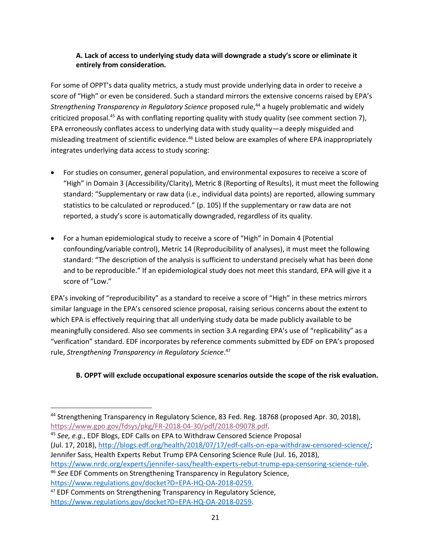### <span id="page-20-0"></span>**A. Lack of access to underlying study data will downgrade a study's score or eliminate it entirely from consideration.**

For some of OPPT's data quality metrics, a study must provide underlying data in order to receive a score of "High" or even be considered. Such a standard mirrors the extensive concerns raised by EPA's *Strengthening Transparency in Regulatory Science* proposed rule, <sup>44</sup> a hugely problematic and widely criticized proposal.<sup>45</sup> As with conflating reporting quality with study quality (see comment section 7), EPA erroneously conflates access to underlying data with study quality—a deeply misguided and misleading treatment of scientific evidence.<sup>46</sup> Listed below are examples of where EPA inappropriately integrates underlying data access to study scoring:

- For studies on consumer, general population, and environmental exposures to receive a score of "High" in Domain 3 (Accessibility/Clarity), Metric 8 (Reporting of Results), it must meet the following standard: "Supplementary or raw data (i.e., individual data points) are reported, allowing summary statistics to be calculated or reproduced." (p. 105) If the supplementary or raw data are not reported, a study's score is automatically downgraded, regardless of its quality.
- For a human epidemiological study to receive a score of "High" in Domain 4 (Potential confounding/variable control), Metric 14 (Reproducibility of analyses), it must meet the following standard: "The description of the analysis is sufficient to understand precisely what has been done and to be reproducible." If an epidemiological study does not meet this standard, EPA will give it a score of "Low."

EPA's invoking of "reproducibility" as a standard to receive a score of "High" in these metrics mirrors similar language in the EPA's censored science proposal, raising serious concerns about the extent to which EPA is effectively requiring that all underlying study data be made publicly available to be meaningfully considered. Also see comments in section 3.A regarding EPA's use of "replicability" as a "verification" standard. EDF incorporates by reference comments submitted by EDF on EPA's proposed rule, *Strengthening Transparency in Regulatory Science*. 47

### <span id="page-20-1"></span>**B. OPPT will exclude occupational exposure scenarios outside the scope of the risk evaluation.**

[https://www.nrdc.org/experts/jennifer-sass/health-experts-rebut-trump-epa-censoring-science-rule.](https://www.nrdc.org/experts/jennifer-sass/health-experts-rebut-trump-epa-censoring-science-rule) <sup>46</sup> *See* EDF Comments on Strengthening Transparency in Regulatory Science, https://www.regulations.gov/docket?D=EPA-HQ-OA-2018-0259.

<sup>&</sup>lt;sup>44</sup> Strengthening Transparency in Regulatory Science, 83 Fed. Reg. 18768 (proposed Apr. 30, 2018), [https://www.gpo.gov/fdsys/pkg/FR-2018-04-30/pdf/2018-09078.pdf.](https://www.gpo.gov/fdsys/pkg/FR-2018-04-30/pdf/2018-09078.pdf)

<sup>45</sup> *See, e.g.*, EDF Blogs, EDF Calls on EPA to Withdraw Censored Science Proposal (Jul. 17, 2018)[, http://blogs.edf.org/health/2018/07/17/edf-calls-on-epa-withdraw-censored-science/;](http://blogs.edf.org/health/2018/07/17/edf-calls-on-epa-withdraw-censored-science/) Jennifer Sass, Health Experts Rebut Trump EPA Censoring Science Rule (Jul. 16, 2018),

<sup>47</sup> EDF Comments on Strengthening Transparency in Regulatory Science, https://www.regulations.gov/docket?D=EPA-HQ-OA-2018-0259.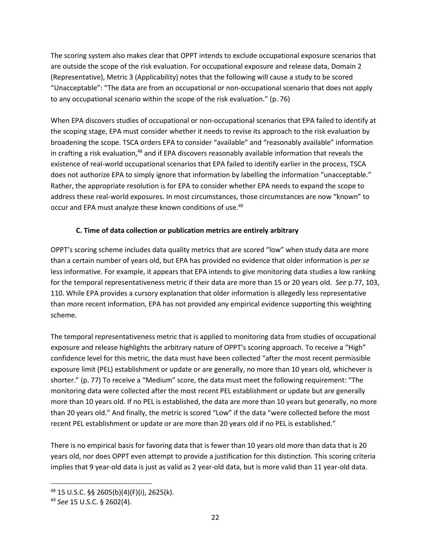The scoring system also makes clear that OPPT intends to exclude occupational exposure scenarios that are outside the scope of the risk evaluation. For occupational exposure and release data, Domain 2 (Representative), Metric 3 (Applicability) notes that the following will cause a study to be scored "Unacceptable": "The data are from an occupational or non-occupational scenario that does not apply to any occupational scenario within the scope of the risk evaluation." (p. 76)

When EPA discovers studies of occupational or non-occupational scenarios that EPA failed to identify at the scoping stage, EPA must consider whether it needs to revise its approach to the risk evaluation by broadening the scope. TSCA orders EPA to consider "available" and "reasonably available" information in crafting a risk evaluation, $48$  and if EPA discovers reasonably available information that reveals the existence of real-world occupational scenarios that EPA failed to identify earlier in the process, TSCA does not authorize EPA to simply ignore that information by labelling the information "unacceptable." Rather, the appropriate resolution is for EPA to consider whether EPA needs to expand the scope to address these real-world exposures. In most circumstances, those circumstances are now "known" to occur and EPA must analyze these known conditions of use.<sup>49</sup>

### **C. Time of data collection or publication metrics are entirely arbitrary**

<span id="page-21-0"></span>OPPT's scoring scheme includes data quality metrics that are scored "low" when study data are more than a certain number of years old, but EPA has provided no evidence that older information is *per se* less informative. For example, it appears that EPA intends to give monitoring data studies a low ranking for the temporal representativeness metric if their data are more than 15 or 20 years old. *See* p.77, 103, 110. While EPA provides a cursory explanation that older information is allegedly less representative than more recent information, EPA has not provided any empirical evidence supporting this weighting scheme.

The temporal representativeness metric that is applied to monitoring data from studies of occupational exposure and release highlights the arbitrary nature of OPPT's scoring approach. To receive a "High" confidence level for this metric, the data must have been collected "after the most recent permissible exposure limit (PEL) establishment or update or are generally, no more than 10 years old, whichever is shorter." (p. 77) To receive a "Medium" score, the data must meet the following requirement: "The monitoring data were collected after the most recent PEL establishment or update but are generally more than 10 years old. If no PEL is established, the data are more than 10 years but generally, no more than 20 years old." And finally, the metric is scored "Low" if the data "were collected before the most recent PEL establishment or update or are more than 20 years old if no PEL is established."

There is no empirical basis for favoring data that is fewer than 10 years old more than data that is 20 years old, nor does OPPT even attempt to provide a justification for this distinction. This scoring criteria implies that 9 year-old data is just as valid as 2 year-old data, but is more valid than 11 year-old data.

<sup>48</sup> 15 U.S.C. §§ 2605(b)(4)(F)(i), 2625(k).

<sup>49</sup> *See* 15 U.S.C. § 2602(4).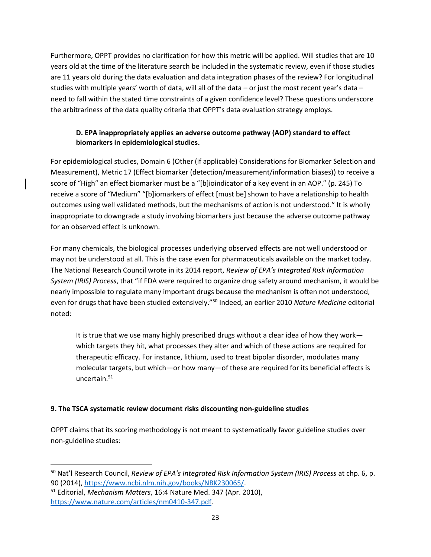Furthermore, OPPT provides no clarification for how this metric will be applied. Will studies that are 10 years old at the time of the literature search be included in the systematic review, even if those studies are 11 years old during the data evaluation and data integration phases of the review? For longitudinal studies with multiple years' worth of data, will all of the data – or just the most recent year's data – need to fall within the stated time constraints of a given confidence level? These questions underscore the arbitrariness of the data quality criteria that OPPT's data evaluation strategy employs.

### <span id="page-22-0"></span>**D. EPA inappropriately applies an adverse outcome pathway (AOP) standard to effect biomarkers in epidemiological studies.**

For epidemiological studies, Domain 6 (Other (if applicable) Considerations for Biomarker Selection and Measurement), Metric 17 (Effect biomarker (detection/measurement/information biases)) to receive a score of "High" an effect biomarker must be a "[b]ioindicator of a key event in an AOP." (p. 245) To receive a score of "Medium" "[b]iomarkers of effect [must be] shown to have a relationship to health outcomes using well validated methods, but the mechanisms of action is not understood." It is wholly inappropriate to downgrade a study involving biomarkers just because the adverse outcome pathway for an observed effect is unknown.

For many chemicals, the biological processes underlying observed effects are not well understood or may not be understood at all. This is the case even for pharmaceuticals available on the market today. The National Research Council wrote in its 2014 report, *Review of EPA's Integrated Risk Information System (IRIS) Process*, that "if FDA were required to organize drug safety around mechanism, it would be nearly impossible to regulate many important drugs because the mechanism is often not understood, even for drugs that have been studied extensively."<sup>50</sup> Indeed, an earlier 2010 *Nature Medicine* editorial noted:

It is true that we use many highly prescribed drugs without a clear idea of how they work which targets they hit, what processes they alter and which of these actions are required for therapeutic efficacy. For instance, lithium, used to treat bipolar disorder, modulates many molecular targets, but which—or how many—of these are required for its beneficial effects is uncertain. $51$ 

### <span id="page-22-1"></span>**9. The TSCA systematic review document risks discounting non-guideline studies**

OPPT claims that its scoring methodology is not meant to systematically favor guideline studies over non-guideline studies:

<sup>50</sup> Nat'l Research Council, *Review of EPA's Integrated Risk Information System (IRIS) Process* at chp. 6, p. 90 (2014), [https://www.ncbi.nlm.nih.gov/books/NBK230065/.](https://www.ncbi.nlm.nih.gov/books/NBK230065/)

<sup>51</sup> Editorial, *Mechanism Matters*, 16:4 Nature Med. 347 (Apr. 2010), [https://www.nature.com/articles/nm0410-347.pdf.](https://www.nature.com/articles/nm0410-347.pdf)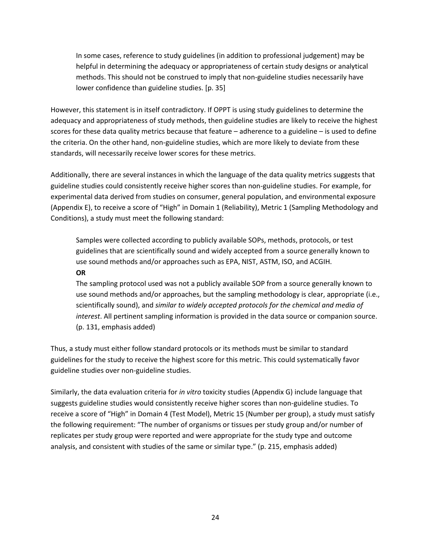In some cases, reference to study guidelines (in addition to professional judgement) may be helpful in determining the adequacy or appropriateness of certain study designs or analytical methods. This should not be construed to imply that non-guideline studies necessarily have lower confidence than guideline studies. [p. 35]

However, this statement is in itself contradictory. If OPPT is using study guidelines to determine the adequacy and appropriateness of study methods, then guideline studies are likely to receive the highest scores for these data quality metrics because that feature – adherence to a guideline – is used to define the criteria. On the other hand, non-guideline studies, which are more likely to deviate from these standards, will necessarily receive lower scores for these metrics.

Additionally, there are several instances in which the language of the data quality metrics suggests that guideline studies could consistently receive higher scores than non-guideline studies. For example, for experimental data derived from studies on consumer, general population, and environmental exposure (Appendix E), to receive a score of "High" in Domain 1 (Reliability), Metric 1 (Sampling Methodology and Conditions), a study must meet the following standard:

Samples were collected according to publicly available SOPs, methods, protocols, or test guidelines that are scientifically sound and widely accepted from a source generally known to use sound methods and/or approaches such as EPA, NIST, ASTM, ISO, and ACGIH.

#### <span id="page-23-0"></span>**OR**

The sampling protocol used was not a publicly available SOP from a source generally known to use sound methods and/or approaches, but the sampling methodology is clear, appropriate (i.e., scientifically sound), and *similar to widely accepted protocols for the chemical and media of interest*. All pertinent sampling information is provided in the data source or companion source. (p. 131, emphasis added)

Thus, a study must either follow standard protocols or its methods must be similar to standard guidelines for the study to receive the highest score for this metric. This could systematically favor guideline studies over non-guideline studies.

Similarly, the data evaluation criteria for *in vitro* toxicity studies (Appendix G) include language that suggests guideline studies would consistently receive higher scores than non-guideline studies. To receive a score of "High" in Domain 4 (Test Model), Metric 15 (Number per group), a study must satisfy the following requirement: "The number of organisms or tissues per study group and/or number of replicates per study group were reported and were appropriate for the study type and outcome analysis, and consistent with studies of the same or similar type." (p. 215, emphasis added)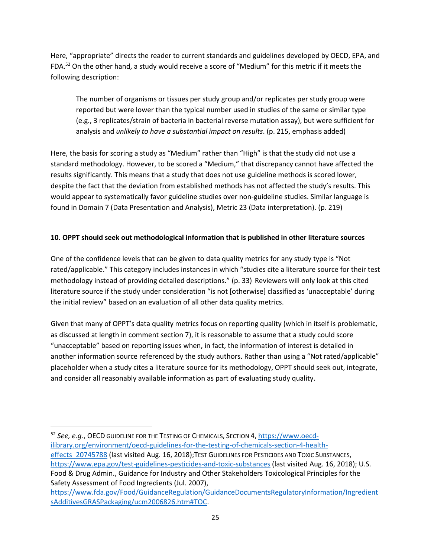Here, "appropriate" directs the reader to current standards and guidelines developed by OECD, EPA, and FDA.<sup>52</sup> On the other hand, a study would receive a score of "Medium" for this metric if it meets the following description:

The number of organisms or tissues per study group and/or replicates per study group were reported but were lower than the typical number used in studies of the same or similar type (e.g., 3 replicates/strain of bacteria in bacterial reverse mutation assay), but were sufficient for analysis and *unlikely to have a substantial impact on results*. (p. 215, emphasis added)

Here, the basis for scoring a study as "Medium" rather than "High" is that the study did not use a standard methodology. However, to be scored a "Medium," that discrepancy cannot have affected the results significantly. This means that a study that does not use guideline methods is scored lower, despite the fact that the deviation from established methods has not affected the study's results. This would appear to systematically favor guideline studies over non-guideline studies. Similar language is found in Domain 7 (Data Presentation and Analysis), Metric 23 (Data interpretation). (p. 219)

### <span id="page-24-0"></span>**10. OPPT should seek out methodological information that is published in other literature sources**

One of the confidence levels that can be given to data quality metrics for any study type is "Not rated/applicable." This category includes instances in which "studies cite a literature source for their test methodology instead of providing detailed descriptions." (p. 33) Reviewers will only look at this cited literature source if the study under consideration "is not [otherwise] classified as 'unacceptable' during the initial review" based on an evaluation of all other data quality metrics.

Given that many of OPPT's data quality metrics focus on reporting quality (which in itself is problematic, as discussed at length in comment section 7), it is reasonable to assume that a study could score "unacceptable" based on reporting issues when, in fact, the information of interest is detailed in another information source referenced by the study authors. Rather than using a "Not rated/applicable" placeholder when a study cites a literature source for its methodology, OPPT should seek out, integrate, and consider all reasonably available information as part of evaluating study quality.

<sup>52</sup> *See, e.g.*, OECD GUIDELINE FOR THE TESTING OF CHEMICALS, SECTION 4, [https://www.oecd](https://www.oecd-ilibrary.org/environment/oecd-guidelines-for-the-testing-of-chemicals-section-4-health-effects_20745788)[ilibrary.org/environment/oecd-guidelines-for-the-testing-of-chemicals-section-4-health](https://www.oecd-ilibrary.org/environment/oecd-guidelines-for-the-testing-of-chemicals-section-4-health-effects_20745788)effects 20745788 (last visited Aug. 16, 2018);TEST GUIDELINES FOR PESTICIDES AND TOXIC SUBSTANCES, <https://www.epa.gov/test-guidelines-pesticides-and-toxic-substances> (last visited Aug. 16, 2018); U.S. Food & Drug Admin., Guidance for Industry and Other Stakeholders Toxicological Principles for the Safety Assessment of Food Ingredients (Jul. 2007),

[https://www.fda.gov/Food/GuidanceRegulation/GuidanceDocumentsRegulatoryInformation/Ingredient](https://www.fda.gov/Food/GuidanceRegulation/GuidanceDocumentsRegulatoryInformation/IngredientsAdditivesGRASPackaging/ucm2006826.htm#TOC) [sAdditivesGRASPackaging/ucm2006826.htm#TOC.](https://www.fda.gov/Food/GuidanceRegulation/GuidanceDocumentsRegulatoryInformation/IngredientsAdditivesGRASPackaging/ucm2006826.htm#TOC)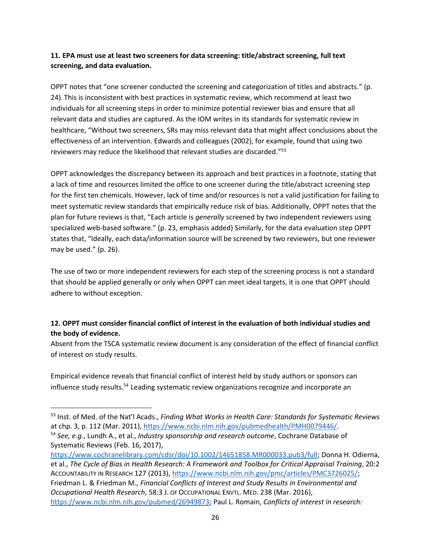### <span id="page-25-0"></span>**11. EPA must use at least two screeners for data screening: title/abstract screening, full text screening, and data evaluation.**

OPPT notes that "one screener conducted the screening and categorization of titles and abstracts." (p. 24). This is inconsistent with best practices in systematic review, which recommend at least two individuals for all screening steps in order to minimize potential reviewer bias and ensure that all relevant data and studies are captured. As the IOM writes in its standards for systematic review in healthcare, "Without two screeners, SRs may miss relevant data that might affect conclusions about the effectiveness of an intervention. Edwards and colleagues (2002), for example, found that using two reviewers may reduce the likelihood that relevant studies are discarded."<sup>53</sup>

OPPT acknowledges the discrepancy between its approach and best practices in a footnote, stating that a lack of time and resources limited the office to one screener during the title/abstract screening step for the first ten chemicals. However, lack of time and/or resources is not a valid justification for failing to meet systematic review standards that empirically reduce risk of bias. Additionally, OPPT notes that the plan for future reviews is that, "Each article is *generally* screened by two independent reviewers using specialized web-based software." (p. 23, emphasis added) Similarly, for the data evaluation step OPPT states that, "Ideally, each data/information source will be screened by two reviewers, but one reviewer may be used." (p. 26).

The use of two or more independent reviewers for each step of the screening process is not a standard that should be applied generally or only when OPPT can meet ideal targets, it is one that OPPT should adhere to without exception.

### <span id="page-25-1"></span>**12. OPPT must consider financial conflict of interest in the evaluation of both individual studies and the body of evidence.**

Absent from the TSCA systematic review document is any consideration of the effect of financial conflict of interest on study results.

Empirical evidence reveals that financial conflict of interest held by study authors or sponsors can influence study results.<sup>54</sup> Leading systematic review organizations recognize and incorporate an

Systematic Reviews (Feb. 16, 2017),

<sup>53</sup> Inst. of Med. of the Nat'l Acads., *Finding What Works in Health Care: Standards for Systematic Reviews* at chp. 3, p. 112 (Mar. 2011), [https://www.ncbi.nlm.nih.gov/pubmedhealth/PMH0079446/.](https://www.ncbi.nlm.nih.gov/pubmedhealth/PMH0079446/) <sup>54</sup> *See, e.g.*, Lundh A., et al., *Industry sponsorship and research outcome*, Cochrane Database of

[https://www.cochranelibrary.com/cdsr/doi/10.1002/14651858.MR000033.pub3/full;](https://www.cochranelibrary.com/cdsr/doi/10.1002/14651858.MR000033.pub3/full) Donna H. Odierna, et al., *The Cycle of Bias in Health Research: A Framework and Toolbox for Critical Appraisal Training*, 20:2 ACCOUNTABILITY IN RESEARCH 127 (2013)[, https://www.ncbi.nlm.nih.gov/pmc/articles/PMC3726025/;](https://www.ncbi.nlm.nih.gov/pmc/articles/PMC3726025/) Friedman L. & Friedman M., *Financial Conflicts of Interest and Study Results in Environmental and Occupational Health Research*, 58:3 J. OF OCCUPATIONAL ENVTL. MED. 238 (Mar. 2016), [https://www.ncbi.nlm.nih.gov/pubmed/26949873;](https://www.ncbi.nlm.nih.gov/pubmed/26949873) Paul L. Romain, *Conflicts of interest in research:*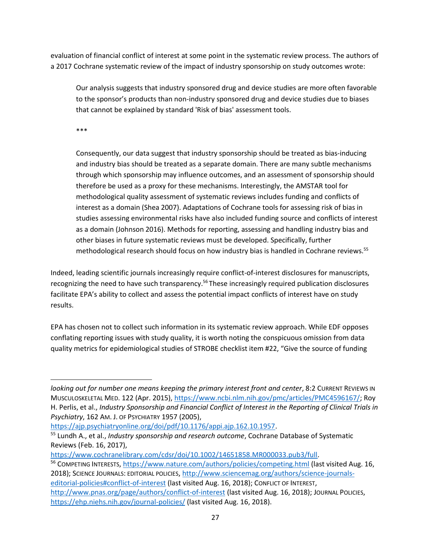evaluation of financial conflict of interest at some point in the systematic review process. The authors of a 2017 Cochrane systematic review of the impact of industry sponsorship on study outcomes wrote:

Our analysis suggests that industry sponsored drug and device studies are more often favorable to the sponsor's products than non-industry sponsored drug and device studies due to biases that cannot be explained by standard 'Risk of bias' assessment tools.

\*\*\*

 $\overline{a}$ 

Consequently, our data suggest that industry sponsorship should be treated as bias‐inducing and industry bias should be treated as a separate domain. There are many subtle mechanisms through which sponsorship may influence outcomes, and an assessment of sponsorship should therefore be used as a proxy for these mechanisms. Interestingly, the AMSTAR tool for methodological quality assessment of systematic reviews includes funding and conflicts of interest as a domain (Shea 2007). Adaptations of Cochrane tools for assessing risk of bias in studies assessing environmental risks have also included funding source and conflicts of interest as a domain (Johnson 2016). Methods for reporting, assessing and handling industry bias and other biases in future systematic reviews must be developed. Specifically, further methodological research should focus on how industry bias is handled in Cochrane reviews.<sup>55</sup>

Indeed, leading scientific journals increasingly require conflict-of-interest disclosures for manuscripts, recognizing the need to have such transparency.<sup>56</sup> These increasingly required publication disclosures facilitate EPA's ability to collect and assess the potential impact conflicts of interest have on study results.

EPA has chosen not to collect such information in its systematic review approach. While EDF opposes conflating reporting issues with study quality, it is worth noting the conspicuous omission from data quality metrics for epidemiological studies of STROBE checklist item #22, "Give the source of funding

*looking out for number one means keeping the primary interest front and center*, 8:2 CURRENT REVIEWS IN MUSCULOSKELETAL MED. 122 (Apr. 2015)[, https://www.ncbi.nlm.nih.gov/pmc/articles/PMC4596167/;](https://www.ncbi.nlm.nih.gov/pmc/articles/PMC4596167/) Roy H. Perlis, et al., *Industry Sponsorship and Financial Conflict of Interest in the Reporting of Clinical Trials in Psychiatry*, 162 AM. J. OF PSYCHIATRY 1957 (2005),

[https://ajp.psychiatryonline.org/doi/pdf/10.1176/appi.ajp.162.10.1957.](https://ajp.psychiatryonline.org/doi/pdf/10.1176/appi.ajp.162.10.1957)

<sup>55</sup> Lundh A., et al., *Industry sponsorship and research outcome*, Cochrane Database of Systematic Reviews (Feb. 16, 2017),

[https://www.cochranelibrary.com/cdsr/doi/10.1002/14651858.MR000033.pub3/full.](https://www.cochranelibrary.com/cdsr/doi/10.1002/14651858.MR000033.pub3/full) <sup>56</sup> COMPETING INTERESTS,<https://www.nature.com/authors/policies/competing.html> (last visited Aug. 16, 2018); SCIENCE JOURNALS: EDITORIAL POLICIES, [http://www.sciencemag.org/authors/science-journals](http://www.sciencemag.org/authors/science-journals-editorial-policies#conflict-of-interest)[editorial-policies#conflict-of-interest](http://www.sciencemag.org/authors/science-journals-editorial-policies#conflict-of-interest) (last visited Aug. 16, 2018); CONFLICT OF INTEREST, <http://www.pnas.org/page/authors/conflict-of-interest> (last visited Aug. 16, 2018); JOURNAL POLICIES, <https://ehp.niehs.nih.gov/journal-policies/> (last visited Aug. 16, 2018).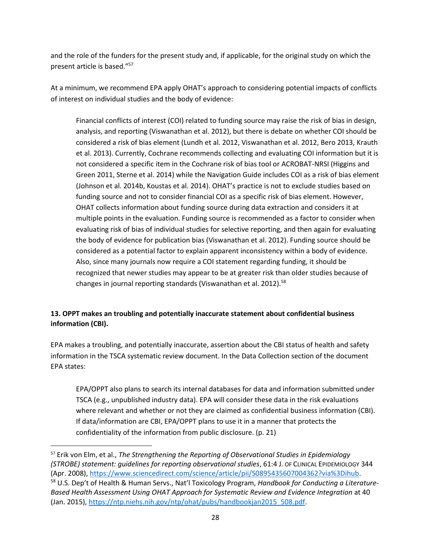and the role of the funders for the present study and, if applicable, for the original study on which the present article is based."<sup>57</sup>

At a minimum, we recommend EPA apply OHAT's approach to considering potential impacts of conflicts of interest on individual studies and the body of evidence:

Financial conflicts of interest (COI) related to funding source may raise the risk of bias in design, analysis, and reporting (Viswanathan et al. 2012), but there is debate on whether COI should be considered a risk of bias element (Lundh et al. 2012, Viswanathan et al. 2012, Bero 2013, Krauth et al. 2013). Currently, Cochrane recommends collecting and evaluating COI information but it is not considered a specific item in the Cochrane risk of bias tool or ACROBAT-NRSI (Higgins and Green 2011, Sterne et al. 2014) while the Navigation Guide includes COI as a risk of bias element (Johnson et al. 2014b, Koustas et al. 2014). OHAT's practice is not to exclude studies based on funding source and not to consider financial COI as a specific risk of bias element. However, OHAT collects information about funding source during data extraction and considers it at multiple points in the evaluation. Funding source is recommended as a factor to consider when evaluating risk of bias of individual studies for selective reporting, and then again for evaluating the body of evidence for publication bias (Viswanathan et al. 2012). Funding source should be considered as a potential factor to explain apparent inconsistency within a body of evidence. Also, since many journals now require a COI statement regarding funding, it should be recognized that newer studies may appear to be at greater risk than older studies because of changes in journal reporting standards (Viswanathan et al. 2012).<sup>58</sup>

# <span id="page-27-0"></span>**13. OPPT makes an troubling and potentially inaccurate statement about confidential business information (CBI).**

EPA makes a troubling, and potentially inaccurate, assertion about the CBI status of health and safety information in the TSCA systematic review document. In the Data Collection section of the document EPA states:

EPA/OPPT also plans to search its internal databases for data and information submitted under TSCA (e.g., unpublished industry data). EPA will consider these data in the risk evaluations where relevant and whether or not they are claimed as confidential business information (CBI). If data/information are CBI, EPA/OPPT plans to use it in a manner that protects the confidentiality of the information from public disclosure. (p. 21)

<sup>57</sup> Erik von Elm, et al., *The Strengthening the Reporting of Observational Studies in Epidemiology (STROBE) statement: guidelines for reporting observational studies*, 61:4 J. OF CLINICAL EPIDEMIOLOGY 344 (Apr. 2008)[, https://www.sciencedirect.com/science/article/pii/S0895435607004362?via%3Dihub.](https://www.sciencedirect.com/science/article/pii/S0895435607004362?via%3Dihub) <sup>58</sup> U.S. Dep't of Health & Human Servs., Nat'l Toxicology Program, *Handbook for Conducting a Literature-Based Health Assessment Using OHAT Approach for Systematic Review and Evidence Integration* at 40 (Jan. 2015), [https://ntp.niehs.nih.gov/ntp/ohat/pubs/handbookjan2015\\_508.pdf.](https://ntp.niehs.nih.gov/ntp/ohat/pubs/handbookjan2015_508.pdf)